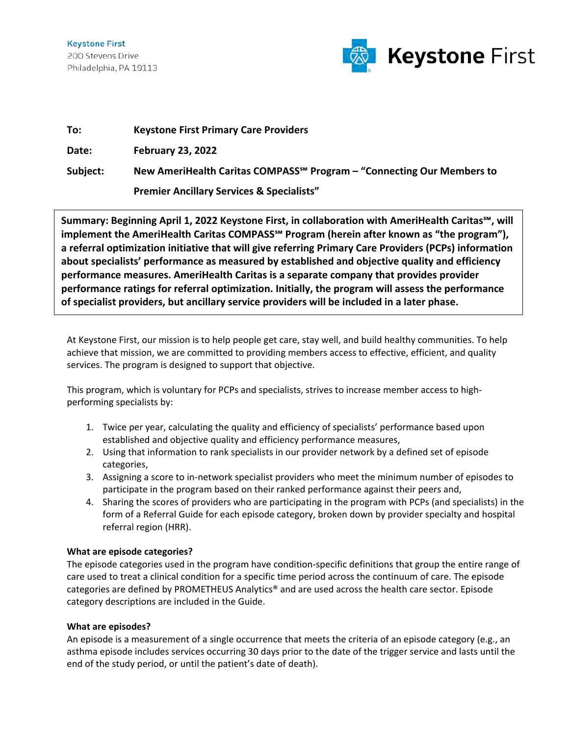**Keystone First** 200 Stevens Drive Philadelphia, PA 19113



| To:      | <b>Keystone First Primary Care Providers</b>                                       |
|----------|------------------------------------------------------------------------------------|
| Date:    | <b>February 23, 2022</b>                                                           |
| Subject: | New AmeriHealth Caritas COMPASS <sup>5M</sup> Program – "Connecting Our Members to |
|          | <b>Premier Ancillary Services &amp; Specialists"</b>                               |

**Summary: Beginning April 1, 2022 Keystone First, in collaboration with AmeriHealth Caritas℠, will implement the AmeriHealth Caritas COMPASS℠ Program (herein after known as "the program"), a referral optimization initiative that will give referring Primary Care Providers (PCPs) information about specialists' performance as measured by established and objective quality and efficiency performance measures. AmeriHealth Caritas is a separate company that provides provider performance ratings for referral optimization. Initially, the program will assess the performance of specialist providers, but ancillary service providers will be included in a later phase.**

At Keystone First, our mission is to help people get care, stay well, and build healthy communities. To help achieve that mission, we are committed to providing members access to effective, efficient, and quality services. The program is designed to support that objective.

This program, which is voluntary for PCPs and specialists, strives to increase member access to highperforming specialists by:

- 1. Twice per year, calculating the quality and efficiency of specialists' performance based upon established and objective quality and efficiency performance measures,
- 2. Using that information to rank specialists in our provider network by a defined set of episode categories,
- 3. Assigning a score to in-network specialist providers who meet the minimum number of episodes to participate in the program based on their ranked performance against their peers and,
- 4. Sharing the scores of providers who are participating in the program with PCPs (and specialists) in the form of a Referral Guide for each episode category, broken down by provider specialty and hospital referral region (HRR).

# **What are episode categories?**

The episode categories used in the program have condition-specific definitions that group the entire range of care used to treat a clinical condition for a specific time period across the continuum of care. The episode categories are defined by PROMETHEUS Analytics® and are used across the health care sector. Episode category descriptions are included in the Guide.

# **What are episodes?**

An episode is a measurement of a single occurrence that meets the criteria of an episode category (e.g., an asthma episode includes services occurring 30 days prior to the date of the trigger service and lasts until the end of the study period, or until the patient's date of death).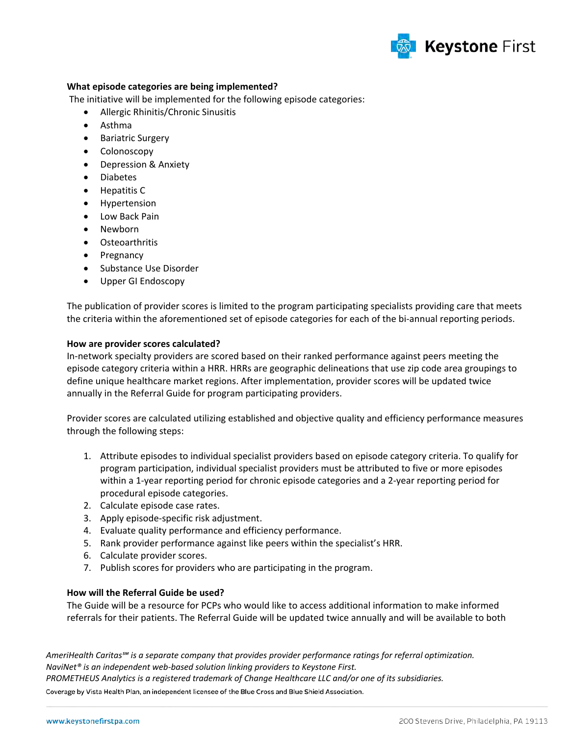

## **What episode categories are being implemented?**

The initiative will be implemented for the following episode categories:

- Allergic Rhinitis/Chronic Sinusitis
- Asthma
- Bariatric Surgery
- Colonoscopy
- Depression & Anxiety
- Diabetes
- Hepatitis C
- Hypertension
- Low Back Pain
- Newborn
- Osteoarthritis
- Pregnancy
- Substance Use Disorder
- Upper GI Endoscopy

The publication of provider scores is limited to the program participating specialists providing care that meets the criteria within the aforementioned set of episode categories for each of the bi-annual reporting periods.

#### **How are provider scores calculated?**

In-network specialty providers are scored based on their ranked performance against peers meeting the episode category criteria within a HRR. HRRs are geographic delineations that use zip code area groupings to define unique healthcare market regions. After implementation, provider scores will be updated twice annually in the Referral Guide for program participating providers.

Provider scores are calculated utilizing established and objective quality and efficiency performance measures through the following steps:

- 1. Attribute episodes to individual specialist providers based on episode category criteria. To qualify for program participation, individual specialist providers must be attributed to five or more episodes within a 1-year reporting period for chronic episode categories and a 2-year reporting period for procedural episode categories.
- 2. Calculate episode case rates.
- 3. Apply episode-specific risk adjustment.
- 4. Evaluate quality performance and efficiency performance.
- 5. Rank provider performance against like peers within the specialist's HRR.
- 6. Calculate provider scores.
- 7. Publish scores for providers who are participating in the program.

#### **How will the Referral Guide be used?**

The Guide will be a resource for PCPs who would like to access additional information to make informed referrals for their patients. The Referral Guide will be updated twice annually and will be available to both

*AmeriHealth Caritas℠ is a separate company that provides provider performance ratings for referral optimization. NaviNet® is an independent web-based solution linking providers to Keystone First. PROMETHEUS Analytics is a registered trademark of Change Healthcare LLC and/or one of its subsidiaries.* Coverage by Vista Health Plan, an independent licensee of the Blue Cross and Blue Shield Association.